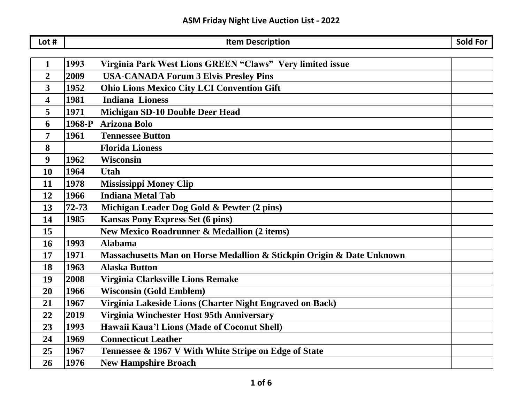| Lot #          |           | <b>Item Description</b>                                               | <b>Sold For</b> |
|----------------|-----------|-----------------------------------------------------------------------|-----------------|
|                |           |                                                                       |                 |
| 1              | 1993      | Virginia Park West Lions GREEN "Claws" Very limited issue             |                 |
| $\overline{2}$ | 2009      | <b>USA-CANADA Forum 3 Elvis Presley Pins</b>                          |                 |
| 3              | 1952      | <b>Ohio Lions Mexico City LCI Convention Gift</b>                     |                 |
| 4              | 1981      | <b>Indiana Lioness</b>                                                |                 |
| 5              | 1971      | <b>Michigan SD-10 Double Deer Head</b>                                |                 |
| 6              | 1968-P    | <b>Arizona Bolo</b>                                                   |                 |
| 7              | 1961      | <b>Tennessee Button</b>                                               |                 |
| 8              |           | <b>Florida Lioness</b>                                                |                 |
| 9              | 1962      | <b>Wisconsin</b>                                                      |                 |
| 10             | 1964      | <b>Utah</b>                                                           |                 |
| 11             | 1978      | <b>Mississippi Money Clip</b>                                         |                 |
| 12             | 1966      | <b>Indiana Metal Tab</b>                                              |                 |
| 13             | $72 - 73$ | Michigan Leader Dog Gold & Pewter (2 pins)                            |                 |
| 14             | 1985      | <b>Kansas Pony Express Set (6 pins)</b>                               |                 |
| 15             |           | <b>New Mexico Roadrunner &amp; Medallion (2 items)</b>                |                 |
| <b>16</b>      | 1993      | <b>Alabama</b>                                                        |                 |
| 17             | 1971      | Massachusetts Man on Horse Medallion & Stickpin Origin & Date Unknown |                 |
| 18             | 1963      | <b>Alaska Button</b>                                                  |                 |
| 19             | 2008      | Virginia Clarksville Lions Remake                                     |                 |
| 20             | 1966      | <b>Wisconsin (Gold Emblem)</b>                                        |                 |
| 21             | 1967      | Virginia Lakeside Lions (Charter Night Engraved on Back)              |                 |
| 22             | 2019      | Virginia Winchester Host 95th Anniversary                             |                 |
| 23             | 1993      | Hawaii Kaua'l Lions (Made of Coconut Shell)                           |                 |
| 24             | 1969      | <b>Connecticut Leather</b>                                            |                 |
| 25             | 1967      | Tennessee & 1967 V With White Stripe on Edge of State                 |                 |
| 26             | 1976      | <b>New Hampshire Broach</b>                                           |                 |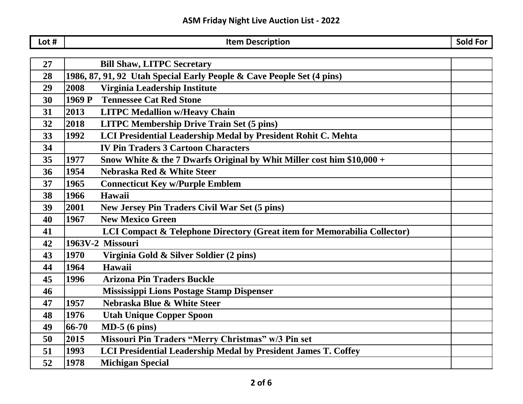| Lot # | <b>Item Description</b>                                                       | Sold For |
|-------|-------------------------------------------------------------------------------|----------|
|       |                                                                               |          |
| 27    | <b>Bill Shaw, LITPC Secretary</b>                                             |          |
| 28    | 1986, 87, 91, 92 Utah Special Early People & Cave People Set (4 pins)         |          |
| 29    | Virginia Leadership Institute<br>2008                                         |          |
| 30    | <b>Tennessee Cat Red Stone</b><br>1969 P                                      |          |
| 31    | 2013<br><b>LITPC Medallion w/Heavy Chain</b>                                  |          |
| 32    | 2018<br><b>LITPC Membership Drive Train Set (5 pins)</b>                      |          |
| 33    | LCI Presidential Leadership Medal by President Rohit C. Mehta<br>1992         |          |
| 34    | <b>IV Pin Traders 3 Cartoon Characters</b>                                    |          |
| 35    | Snow White & the 7 Dwarfs Original by Whit Miller cost him \$10,000 +<br>1977 |          |
| 36    | 1954<br>Nebraska Red & White Steer                                            |          |
| 37    | 1965<br><b>Connecticut Key w/Purple Emblem</b>                                |          |
| 38    | 1966<br>Hawaii                                                                |          |
| 39    | 2001<br>New Jersey Pin Traders Civil War Set (5 pins)                         |          |
| 40    | <b>New Mexico Green</b><br>1967                                               |          |
| 41    | LCI Compact & Telephone Directory (Great item for Memorabilia Collector)      |          |
| 42    | 1963V-2 Missouri                                                              |          |
| 43    | 1970<br>Virginia Gold & Silver Soldier (2 pins)                               |          |
| 44    | 1964<br>Hawaii                                                                |          |
| 45    | <b>Arizona Pin Traders Buckle</b><br>1996                                     |          |
| 46    | <b>Mississippi Lions Postage Stamp Dispenser</b>                              |          |
| 47    | 1957<br>Nebraska Blue & White Steer                                           |          |
| 48    | 1976<br><b>Utah Unique Copper Spoon</b>                                       |          |
| 49    | 66-70<br>$MD-5(6 \text{ pins})$                                               |          |
| 50    | 2015<br>Missouri Pin Traders "Merry Christmas" w/3 Pin set                    |          |
| 51    | LCI Presidential Leadership Medal by President James T. Coffey<br>1993        |          |
| 52    | 1978<br><b>Michigan Special</b>                                               |          |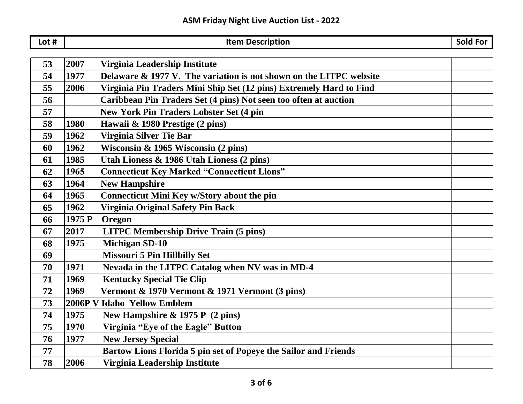| Lot # |        | <b>Item Description</b>                                             | <b>Sold For</b> |
|-------|--------|---------------------------------------------------------------------|-----------------|
|       |        |                                                                     |                 |
| 53    | 2007   | Virginia Leadership Institute                                       |                 |
| 54    | 1977   | Delaware & 1977 V. The variation is not shown on the LITPC website  |                 |
| 55    | 2006   | Virginia Pin Traders Mini Ship Set (12 pins) Extremely Hard to Find |                 |
| 56    |        | Caribbean Pin Traders Set (4 pins) Not seen too often at auction    |                 |
| 57    |        | <b>New York Pin Traders Lobster Set (4 pin</b>                      |                 |
| 58    | 1980   | Hawaii & 1980 Prestige (2 pins)                                     |                 |
| 59    | 1962   | Virginia Silver Tie Bar                                             |                 |
| 60    | 1962   | Wisconsin & 1965 Wisconsin $(2 \text{ pins})$                       |                 |
| 61    | 1985   | Utah Lioness & 1986 Utah Lioness (2 pins)                           |                 |
| 62    | 1965   | <b>Connecticut Key Marked "Connecticut Lions"</b>                   |                 |
| 63    | 1964   | <b>New Hampshire</b>                                                |                 |
| 64    | 1965   | Connecticut Mini Key w/Story about the pin                          |                 |
| 65    | 1962   | Virginia Original Safety Pin Back                                   |                 |
| 66    | 1975 P | Oregon                                                              |                 |
| 67    | 2017   | <b>LITPC Membership Drive Train (5 pins)</b>                        |                 |
| 68    | 1975   | <b>Michigan SD-10</b>                                               |                 |
| 69    |        | <b>Missouri 5 Pin Hillbilly Set</b>                                 |                 |
| 70    | 1971   | Nevada in the LITPC Catalog when NV was in MD-4                     |                 |
| 71    | 1969   | <b>Kentucky Special Tie Clip</b>                                    |                 |
| 72    | 1969   | Vermont & 1970 Vermont & 1971 Vermont (3 pins)                      |                 |
| 73    |        | 2006P V Idaho Yellow Emblem                                         |                 |
| 74    | 1975   | New Hampshire & 1975 P (2 pins)                                     |                 |
| 75    | 1970   | Virginia "Eye of the Eagle" Button                                  |                 |
| 76    | 1977   | <b>New Jersey Special</b>                                           |                 |
| 77    |        | Bartow Lions Florida 5 pin set of Popeye the Sailor and Friends     |                 |
| 78    | 2006   | Virginia Leadership Institute                                       |                 |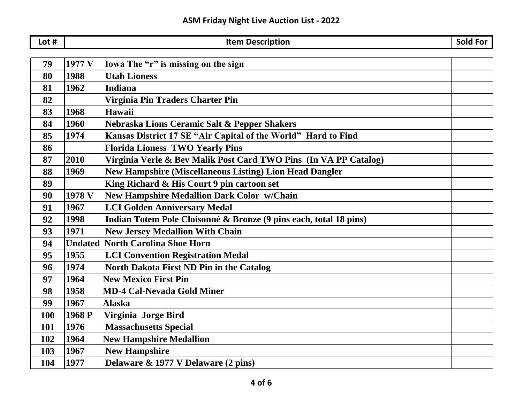| Lot $#$    |        | <b>Item Description</b>                                           | <b>Sold For</b> |
|------------|--------|-------------------------------------------------------------------|-----------------|
|            |        |                                                                   |                 |
| 79         | 1977 V | Iowa The "r" is missing on the sign                               |                 |
| 80         | 1988   | <b>Utah Lioness</b>                                               |                 |
| 81         | 1962   | <b>Indiana</b>                                                    |                 |
| 82         |        | Virginia Pin Traders Charter Pin                                  |                 |
| 83         | 1968   | Hawaii                                                            |                 |
| 84         | 1960   | Nebraska Lions Ceramic Salt & Pepper Shakers                      |                 |
| 85         | 1974   | Kansas District 17 SE "Air Capital of the World" Hard to Find     |                 |
| 86         |        | <b>Florida Lioness TWO Yearly Pins</b>                            |                 |
| 87         | 2010   | Virginia Verle & Bev Malik Post Card TWO Pins (In VA PP Catalog)  |                 |
| 88         | 1969   | <b>New Hampshire (Miscellaneous Listing) Lion Head Dangler</b>    |                 |
| 89         |        | King Richard & His Court 9 pin cartoon set                        |                 |
| 90         | 1978 V | <b>New Hampshire Medallion Dark Color w/Chain</b>                 |                 |
| 91         | 1967   | <b>LCI Golden Anniversary Medal</b>                               |                 |
| 92         | 1998   | Indian Totem Pole Cloisonné & Bronze (9 pins each, total 18 pins) |                 |
| 93         | 1971   | <b>New Jersey Medallion With Chain</b>                            |                 |
| 94         |        | <b>Undated North Carolina Shoe Horn</b>                           |                 |
| 95         | 1955   | <b>LCI Convention Registration Medal</b>                          |                 |
| 96         | 1974   | North Dakota First ND Pin in the Catalog                          |                 |
| 97         | 1964   | <b>New Mexico First Pin</b>                                       |                 |
| 98         | 1958   | <b>MD-4 Cal-Nevada Gold Miner</b>                                 |                 |
| 99         | 1967   | <b>Alaska</b>                                                     |                 |
| <b>100</b> | 1968 P | Virginia Jorge Bird                                               |                 |
| 101        | 1976   | <b>Massachusetts Special</b>                                      |                 |
| 102        | 1964   | <b>New Hampshire Medallion</b>                                    |                 |
| 103        | 1967   | <b>New Hampshire</b>                                              |                 |
| 104        | 1977   | Delaware & 1977 V Delaware (2 pins)                               |                 |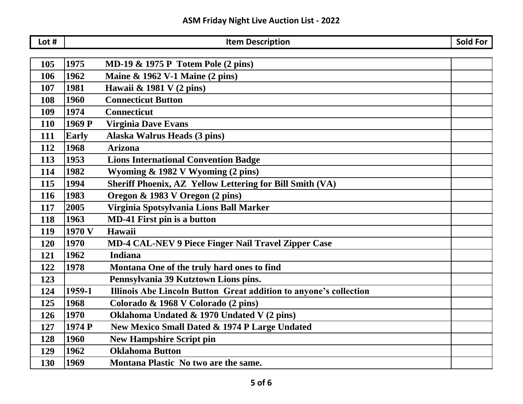| Lot # |              | <b>Item Description</b>                                           | <b>Sold For</b> |
|-------|--------------|-------------------------------------------------------------------|-----------------|
|       |              |                                                                   |                 |
| 105   | 1975         | <b>MD-19 &amp; 1975 P Totem Pole (2 pins)</b>                     |                 |
| 106   | 1962         | Maine & 1962 V-1 Maine (2 pins)                                   |                 |
| 107   | 1981         | Hawaii & 1981 V (2 pins)                                          |                 |
| 108   | 1960         | <b>Connecticut Button</b>                                         |                 |
| 109   | 1974         | <b>Connecticut</b>                                                |                 |
| 110   | 1969 P       | <b>Virginia Dave Evans</b>                                        |                 |
| 111   | <b>Early</b> | <b>Alaska Walrus Heads (3 pins)</b>                               |                 |
| 112   | 1968         | <b>Arizona</b>                                                    |                 |
| 113   | 1953         | <b>Lions International Convention Badge</b>                       |                 |
| 114   | 1982         | Wyoming & 1982 V Wyoming (2 pins)                                 |                 |
| 115   | 1994         | Sheriff Phoenix, AZ Yellow Lettering for Bill Smith (VA)          |                 |
| 116   | 1983         | Oregon & 1983 V Oregon (2 pins)                                   |                 |
| 117   | 2005         | Virginia Spotsylvania Lions Ball Marker                           |                 |
| 118   | 1963         | <b>MD-41 First pin is a button</b>                                |                 |
| 119   | 1970 V       | Hawaii                                                            |                 |
| 120   | 1970         | <b>MD-4 CAL-NEV 9 Piece Finger Nail Travel Zipper Case</b>        |                 |
| 121   | 1962         | <b>Indiana</b>                                                    |                 |
| 122   | 1978         | Montana One of the truly hard ones to find                        |                 |
| 123   |              | Pennsylvania 39 Kutztown Lions pins.                              |                 |
| 124   | 1959-1       | Illinois Abe Lincoln Button Great addition to anyone's collection |                 |
| 125   | 1968         | Colorado & 1968 V Colorado (2 pins)                               |                 |
| 126   | 1970         | Oklahoma Undated & 1970 Undated V (2 pins)                        |                 |
| 127   | 1974 P       | New Mexico Small Dated & 1974 P Large Undated                     |                 |
| 128   | 1960         | <b>New Hampshire Script pin</b>                                   |                 |
| 129   | 1962         | <b>Oklahoma Button</b>                                            |                 |
| 130   | 1969         | Montana Plastic No two are the same.                              |                 |